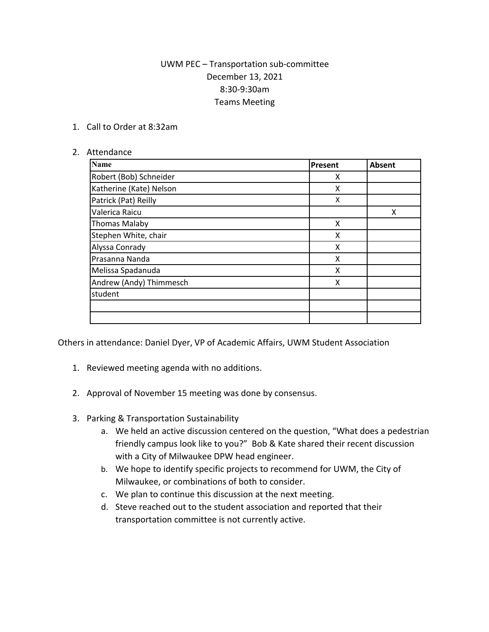## UWM PEC – Transportation sub-committee December 13, 2021 8:30-9:30am Teams Meeting

1. Call to Order at 8:32am

## 2. Attendance

| <b>Name</b>             | Present | Absent |
|-------------------------|---------|--------|
| Robert (Bob) Schneider  | X       |        |
| Katherine (Kate) Nelson | X       |        |
| Patrick (Pat) Reilly    | X       |        |
| Valerica Raicu          |         | Χ      |
| <b>Thomas Malaby</b>    | X       |        |
| Stephen White, chair    | X       |        |
| Alyssa Conrady          | X       |        |
| Prasanna Nanda          | Χ       |        |
| Melissa Spadanuda       | X       |        |
| Andrew (Andy) Thimmesch | X       |        |
| student                 |         |        |
|                         |         |        |
|                         |         |        |

Others in attendance: Daniel Dyer, VP of Academic Affairs, UWM Student Association

- 1. Reviewed meeting agenda with no additions.
- 2. Approval of November 15 meeting was done by consensus.
- 3. Parking & Transportation Sustainability
	- a. We held an active discussion centered on the question, "What does a pedestrian friendly campus look like to you?" Bob & Kate shared their recent discussion with a City of Milwaukee DPW head engineer.
	- b. We hope to identify specific projects to recommend for UWM, the City of Milwaukee, or combinations of both to consider.
	- c. We plan to continue this discussion at the next meeting.
	- d. Steve reached out to the student association and reported that their transportation committee is not currently active.